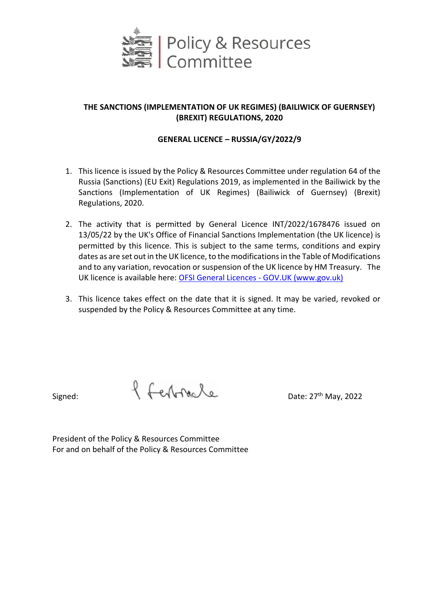

## **THE SANCTIONS (IMPLEMENTATION OF UK REGIMES) (BAILIWICK OF GUERNSEY) (BREXIT) REGULATIONS, 2020**

## **GENERAL LICENCE – RUSSIA/GY/2022/9**

- 1. This licence is issued by the Policy & Resources Committee under regulation 64 of the Russia (Sanctions) (EU Exit) Regulations 2019, as implemented in the Bailiwick by the Sanctions (Implementation of UK Regimes) (Bailiwick of Guernsey) (Brexit) Regulations, 2020.
- 2. The activity that is permitted by General Licence INT/2022/1678476 issued on 13/05/22 by the UK's Office of Financial Sanctions Implementation (the UK licence) is permitted by this licence. This is subject to the same terms, conditions and expiry dates as are set out in the UK licence, to the modifications in the Table of Modifications and to any variation, revocation or suspension of the UK licence by HM Treasury. The UK licence is available here[: OFSI General Licences -](https://www.gov.uk/government/collections/ofsi-general-licences) GOV.UK (www.gov.uk)
- 3. This licence takes effect on the date that it is signed. It may be varied, revoked or suspended by the Policy & Resources Committee at any time.

Signed:  $\int \int \int e \sqrt{r} dr \, dr$ 

President of the Policy & Resources Committee For and on behalf of the Policy & Resources Committee